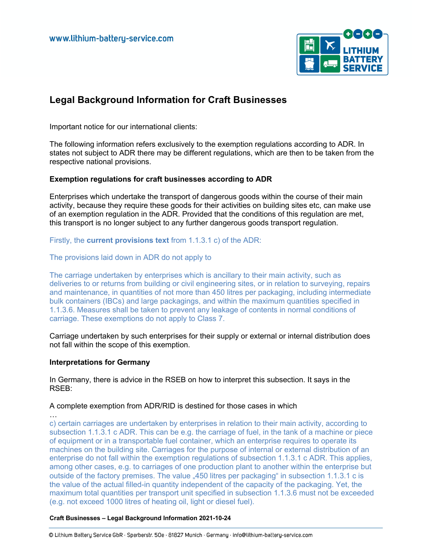

# **Legal Background Information for Craft Businesses**

Important notice for our international clients:

The following information refers exclusively to the exemption regulations according to ADR. In states not subject to ADR there may be different regulations, which are then to be taken from the respective national provisions.

# **Exemption regulations for craft businesses according to ADR**

Enterprises which undertake the transport of dangerous goods within the course of their main activity, because they require these goods for their activities on building sites etc, can make use of an exemption regulation in the ADR. Provided that the conditions of this regulation are met, this transport is no longer subject to any further dangerous goods transport regulation.

Firstly, the **current provisions text** from 1.1.3.1 c) of the ADR:

#### The provisions laid down in ADR do not apply to

The carriage undertaken by enterprises which is ancillary to their main activity, such as deliveries to or returns from building or civil engineering sites, or in relation to surveying, repairs and maintenance, in quantities of not more than 450 litres per packaging, including intermediate bulk containers (IBCs) and large packagings, and within the maximum quantities specified in 1.1.3.6. Measures shall be taken to prevent any leakage of contents in normal conditions of carriage. These exemptions do not apply to Class 7.

Carriage undertaken by such enterprises for their supply or external or internal distribution does not fall within the scope of this exemption.

#### **Interpretations for Germany**

In Germany, there is advice in the RSEB on how to interpret this subsection. It says in the RSEB:

A complete exemption from ADR/RID is destined for those cases in which

… c) certain carriages are undertaken by enterprises in relation to their main activity, according to subsection 1.1.3.1 c ADR. This can be e.g. the carriage of fuel, in the tank of a machine or piece of equipment or in a transportable fuel container, which an enterprise requires to operate its machines on the building site. Carriages for the purpose of internal or external distribution of an enterprise do not fall within the exemption regulations of subsection 1.1.3.1 c ADR. This applies, among other cases, e.g. to carriages of one production plant to another within the enterprise but outside of the factory premises. The value "450 litres per packaging" in subsection 1.1.3.1 c is the value of the actual filled-in quantity independent of the capacity of the packaging. Yet, the maximum total quantities per transport unit specified in subsection 1.1.3.6 must not be exceeded (e.g. not exceed 1000 litres of heating oil, light or diesel fuel).

#### **Craft Businesses – Legal Background Information 2021-10-24**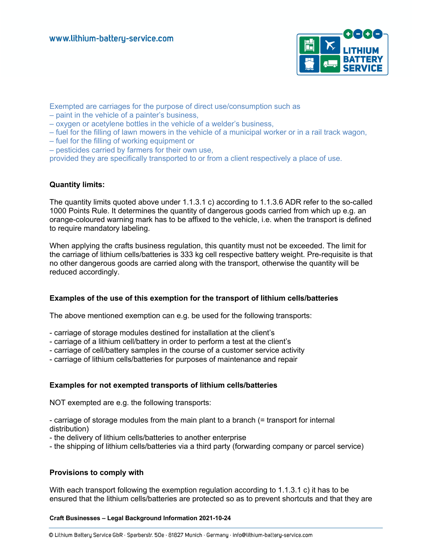

Exempted are carriages for the purpose of direct use/consumption such as

- paint in the vehicle of a painter's business,
- oxygen or acetylene bottles in the vehicle of a welder's business,
- fuel for the filling of lawn mowers in the vehicle of a municipal worker or in a rail track wagon,
- fuel for the filling of working equipment or
- pesticides carried by farmers for their own use,

provided they are specifically transported to or from a client respectively a place of use.

# **Quantity limits:**

The quantity limits quoted above under 1.1.3.1 c) according to 1.1.3.6 ADR refer to the so-called 1000 Points Rule. It determines the quantity of dangerous goods carried from which up e.g. an orange-coloured warning mark has to be affixed to the vehicle, i.e. when the transport is defined to require mandatory labeling.

When applying the crafts business regulation, this quantity must not be exceeded. The limit for the carriage of lithium cells/batteries is 333 kg cell respective battery weight. Pre-requisite is that no other dangerous goods are carried along with the transport, otherwise the quantity will be reduced accordingly.

# **Examples of the use of this exemption for the transport of lithium cells/batteries**

The above mentioned exemption can e.g. be used for the following transports:

- carriage of storage modules destined for installation at the client's
- carriage of a lithium cell/battery in order to perform a test at the client's
- carriage of cell/battery samples in the course of a customer service activity
- carriage of lithium cells/batteries for purposes of maintenance and repair

# **Examples for not exempted transports of lithium cells/batteries**

NOT exempted are e.g. the following transports:

- carriage of storage modules from the main plant to a branch (= transport for internal distribution)

- the delivery of lithium cells/batteries to another enterprise

- the shipping of lithium cells/batteries via a third party (forwarding company or parcel service)

# **Provisions to comply with**

With each transport following the exemption regulation according to 1.1.3.1 c) it has to be ensured that the lithium cells/batteries are protected so as to prevent shortcuts and that they are

**Craft Businesses – Legal Background Information 2021-10-24**